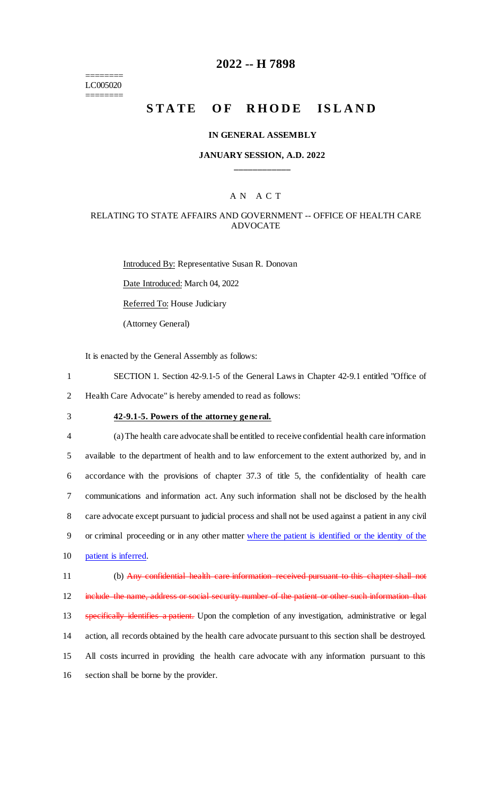======== LC005020 ========

### **2022 -- H 7898**

# **STATE OF RHODE ISLAND**

#### **IN GENERAL ASSEMBLY**

#### **JANUARY SESSION, A.D. 2022 \_\_\_\_\_\_\_\_\_\_\_\_**

### A N A C T

#### RELATING TO STATE AFFAIRS AND GOVERNMENT -- OFFICE OF HEALTH CARE ADVOCATE

Introduced By: Representative Susan R. Donovan Date Introduced: March 04, 2022 Referred To: House Judiciary (Attorney General)

It is enacted by the General Assembly as follows:

1 SECTION 1. Section 42-9.1-5 of the General Laws in Chapter 42-9.1 entitled "Office of 2 Health Care Advocate" is hereby amended to read as follows:

# 3 **42-9.1-5. Powers of the attorney general.**

 (a) The health care advocate shall be entitled to receive confidential health care information available to the department of health and to law enforcement to the extent authorized by, and in accordance with the provisions of chapter 37.3 of title 5, the confidentiality of health care communications and information act. Any such information shall not be disclosed by the health care advocate except pursuant to judicial process and shall not be used against a patient in any civil or criminal proceeding or in any other matter where the patient is identified or the identity of the patient is inferred.

 (b) Any confidential health care information received pursuant to this chapter shall not 12 include the name, address or social security number of the patient or other such information that 13 specifically identifies a patient. Upon the completion of any investigation, administrative or legal action, all records obtained by the health care advocate pursuant to this section shall be destroyed. All costs incurred in providing the health care advocate with any information pursuant to this section shall be borne by the provider.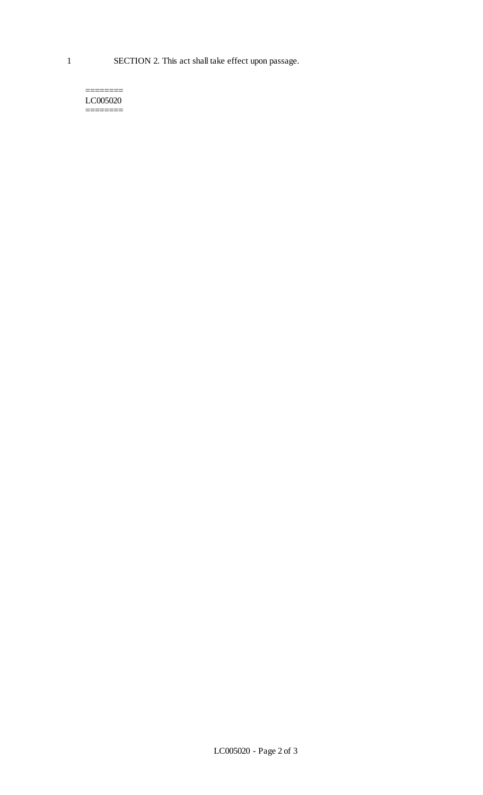======== LC005020 ========